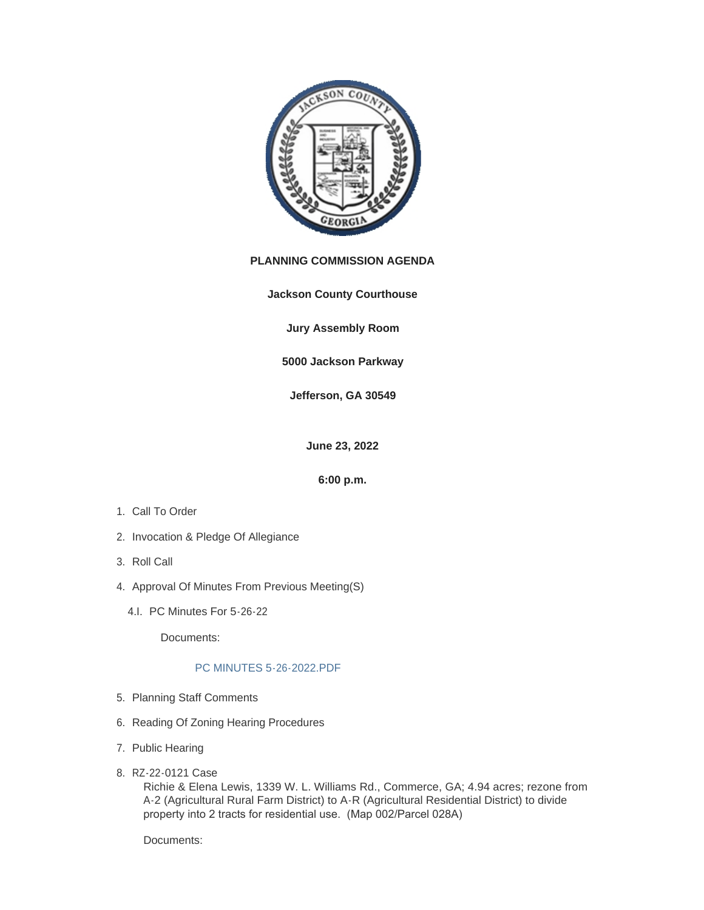

# **PLANNING COMMISSION AGENDA**

**Jackson County Courthouse**

**Jury Assembly Room**

**5000 Jackson Parkway**

**Jefferson, GA 30549**

**June 23, 2022**

**6:00 p.m.**

- 1. Call To Order
- 2. Invocation & Pledge Of Allegiance
- 3. Roll Call
- 4. Approval Of Minutes From Previous Meeting(S)
	- 4.I. PC Minutes For 5-26-22

Documents:

### [PC MINUTES 5-26-2022.PDF](http://www.jacksoncountygov.com/AgendaCenter/ViewFile/Item/1791?fileID=12486)

- 5. Planning Staff Comments
- 6. Reading Of Zoning Hearing Procedures
- 7. Public Hearing
- 8. RZ-22-0121 Case

Richie & Elena Lewis, 1339 W. L. Williams Rd., Commerce, GA; 4.94 acres; rezone from A-2 (Agricultural Rural Farm District) to A-R (Agricultural Residential District) to divide property into 2 tracts for residential use. (Map 002/Parcel 028A)

Documents: